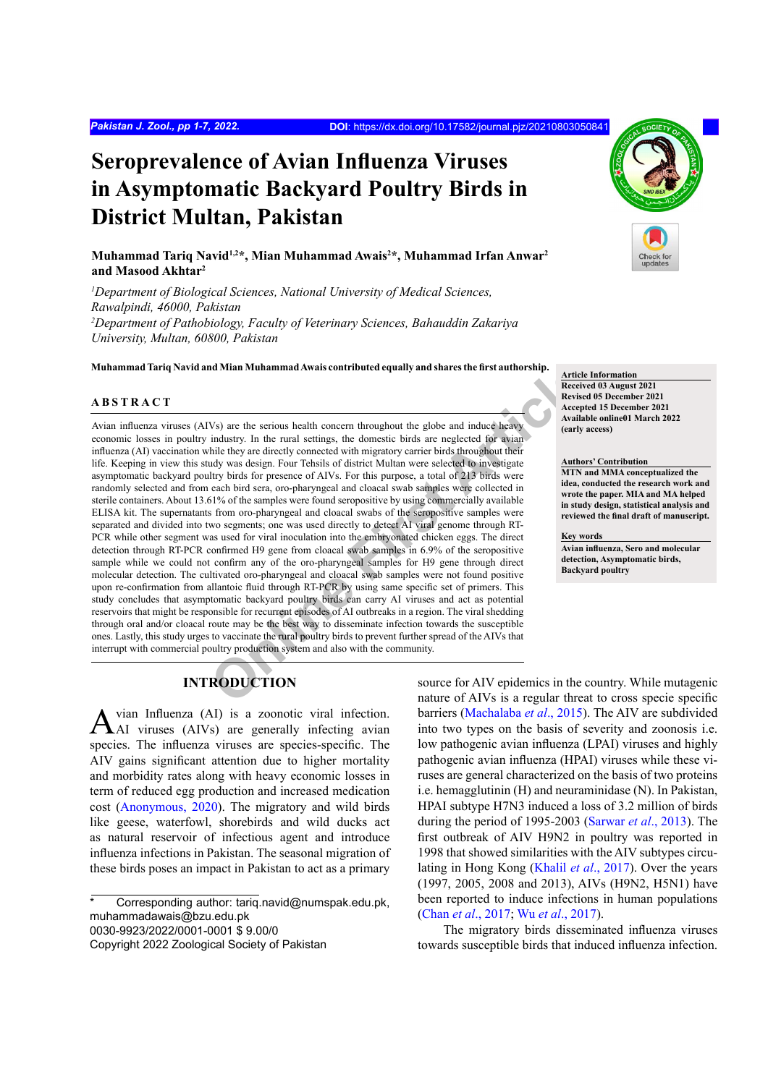# **Seroprevalence of Avian Influenza Viruses in Asymptomatic Backyard Poultry Birds in District Multan, Pakistan**

**Muhammad Tariq Navid1,2\*, Mian Muhammad Awais2 \*, Muhammad Irfan Anwar2 and Masood Akhtar2**

<sup>1</sup>Department of Biological Sciences, National University of Medical Sciences, *Rawalpindi, 46000, Pakistan 2 Department of Pathobiology, Faculty of Veterinary Sciences, Bahauddin Zakariya University, Multan, 60800, Pakistan*

**Muhammad Tariq Navid and Mian Muhammad Awais contributed equally and shares the first authorship. Article Information**

## **ABSTRACT**

Therefore and the series and the series and the series and the series and the series and the conduct the series are three tows are the series and the series are three to the series are three to the series of the series of Avian influenza viruses (AIVs) are the serious health concern throughout the globe and induce heavy economic losses in poultry industry. In the rural settings, the domestic birds are neglected for avian influenza (AI) vaccination while they are directly connected with migratory carrier birds throughout their life. Keeping in view this study was design. Four Tehsils of district Multan were selected to investigate asymptomatic backyard poultry birds for presence of AIVs. For this purpose, a total of 213 birds were randomly selected and from each bird sera, oro-pharyngeal and cloacal swab samples were collected in sterile containers. About 13.61% of the samples were found seropositive by using commercially available ELISA kit. The supernatants from oro-pharyngeal and cloacal swabs of the seropositive samples were separated and divided into two segments; one was used directly to detect AI viral genome through RT-PCR while other segment was used for viral inoculation into the embryonated chicken eggs. The direct detection through RT-PCR confirmed H9 gene from cloacal swab samples in 6.9% of the seropositive sample while we could not confirm any of the oro-pharyngeal samples for H9 gene through direct molecular detection. The cultivated oro-pharyngeal and cloacal swab samples were not found positive upon re-confirmation from allantoic fluid through RT-PCR by using same specific set of primers. This study concludes that asymptomatic backyard poultry birds can carry AI viruses and act as potential reservoirs that might be responsible for recurrent episodes of AI outbreaks in a region. The viral shedding through oral and/or cloacal route may be the best way to disseminate infection towards the susceptible ones. Lastly, this study urges to vaccinate the rural poultry birds to prevent further spread of the AIVs that interrupt with commercial poultry production system and also with the community.

## **INTRODUCTION**

vian Influenza (AI) is a zoonotic viral infection. AI viruses (AIVs) are generally infecting avian species. The influenza viruses are species-specific. The AIV gains significant attention due to higher mortality and morbidity rates along with heavy economic losses in term of reduced egg production and increased medication cost [\(Anonymous, 2020\)](#page-4-0). The migratory and wild birds like geese, waterfowl, shorebirds and wild ducks act as natural reservoir of infectious agent and introduce influenza infections in Pakistan. The seasonal migration of these birds poses an impact in Pakistan to act as a primary

Corresponding author: tariq.navid@numspak.edu.pk, muhammadawais@bzu.edu.pk 0030-9923/2022/0001-0001 \$ 9.00/0 Copyright 2022 Zoological Society of Pakistan



**Received 03 August 2021 Revised 05 December 2021 Accepted 15 December 2021 Available online01 March 2022 (early access)**

**Authors' Contribution**

**MTN and MMA conceptualized the idea, conducted the research work and wrote the paper. MIA and MA helped in study design, statistical analysis and reviewed the final draft of manuscript.**

**Key words**

**Avian influenza, Sero and molecular detection, Asymptomatic birds, Backyard poultry**

source for AIV epidemics in the country. While mutagenic nature of AIVs is a regular threat to cross specie specific barriers [\(Machalaba](#page-5-0) *et al*., 2015). The AIV are subdivided into two types on the basis of severity and zoonosis i.e. low pathogenic avian influenza (LPAI) viruses and highly pathogenic avian influenza (HPAI) viruses while these viruses are general characterized on the basis of two proteins i.e. hemagglutinin (H) and neuraminidase (N). In Pakistan, HPAI subtype H7N3 induced a loss of 3.2 million of birds during the period of 1995-2003 [\(Sarwar](#page-6-0) *et al*., 2013). The first outbreak of AIV H9N2 in poultry was reported in 1998 that showed similarities with the AIV subtypes circulating in Hong Kong [\(Khalil](#page-5-1) *et al*., 2017). Over the years (1997, 2005, 2008 and 2013), AIVs (H9N2, H5N1) have been reported to induce infections in human populations (Chan *et al*[., 2017;](#page-5-2) Wu *et al*[., 2017\)](#page-6-1).

The migratory birds disseminated influenza viruses towards susceptible birds that induced influenza infection.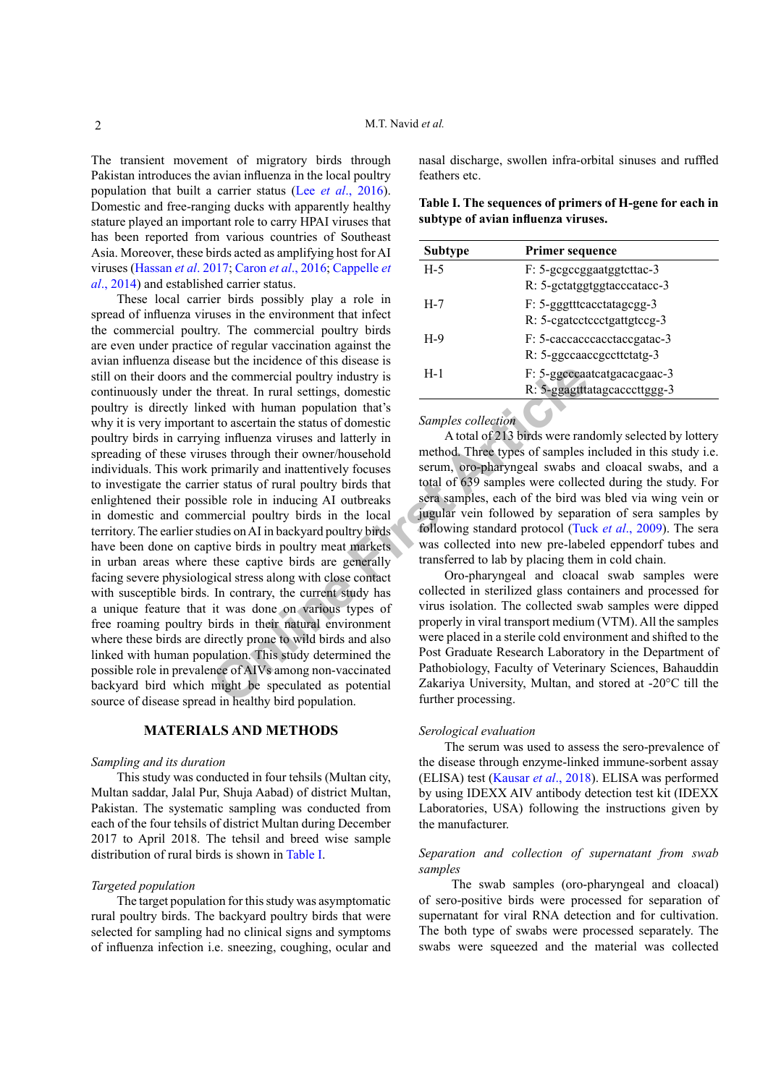The transient movement of migratory birds through Pakistan introduces the avian influenza in the local poultry population that built a carrier status (Lee *et al*., 2016). Domestic and free-ranging ducks with apparently healthy stature played an important role to carry HPAI viruses that has been reported from various countries of Southeast Asia. Moreover, these birds acted as amplifying host for AI viruses ([Hassan](#page-5-3) *et al*. 2017; [Caron](#page-5-4) *et al*., 2016; [Cappelle](#page-5-5) *et al*., [2014\)](#page-5-5) and established carrier status.

The commercial poultry industry is<br>
the commercial poultry industry is<br>
the commercial poultry industry is<br>
the the commercial poultry industry is<br>
the to ascertain the status of domestic<br>
samples collection<br>
A total of 21 These local carrier birds possibly play a role in spread of influenza viruses in the environment that infect the commercial poultry. The commercial poultry birds are even under practice of regular vaccination against the avian influenza disease but the incidence of this disease is still on their doors and the commercial poultry industry is continuously under the threat. In rural settings, domestic poultry is directly linked with human population that's why it is very important to ascertain the status of domestic poultry birds in carrying influenza viruses and latterly in spreading of these viruses through their owner/household individuals. This work primarily and inattentively focuses to investigate the carrier status of rural poultry birds that enlightened their possible role in inducing AI outbreaks in domestic and commercial poultry birds in the local territory. The earlier studies on AI in backyard poultry birds have been done on captive birds in poultry meat markets in urban areas where these captive birds are generally facing severe physiological stress along with close contact with susceptible birds. In contrary, the current study has a unique feature that it was done on various types of free roaming poultry birds in their natural environment where these birds are directly prone to wild birds and also linked with human population. This study determined the possible role in prevalence of AIVs among non-vaccinated backyard bird which might be speculated as potential source of disease spread in healthy bird population.

## **MATERIALS AND METHODS**

#### *Sampling and its duration*

This study was conducted in four tehsils (Multan city, Multan saddar, Jalal Pur, Shuja Aabad) of district Multan, Pakistan. The systematic sampling was conducted from each of the four tehsils of district Multan during December 2017 to April 2018. The tehsil and breed wise sample distribution of rural birds is shown in [Table I.](#page-1-0)

#### *Targeted population*

The target population for this study was asymptomatic rural poultry birds. The backyard poultry birds that were selected for sampling had no clinical signs and symptoms of influenza infection i.e. sneezing, coughing, ocular and nasal discharge, swollen infra-orbital sinuses and ruffled feathers etc.

<span id="page-1-0"></span>

| Table I. The sequences of primers of H-gene for each in |  |  |
|---------------------------------------------------------|--|--|
| subtype of avian influenza viruses.                     |  |  |

| Subtype | <b>Primer sequence</b>                                      |
|---------|-------------------------------------------------------------|
| $H-5$   | F: 5-gcgccggaatggtcttac-3<br>R: 5-gctatggtggtacccatacc-3    |
| $H-7$   | F: 5-gggtttcacctatagcgg-3<br>R: 5-egatectccctgattgtccg-3    |
| $H-9$   | F: 5-caccaccacctaccgatac-3<br>R: 5-ggccaaccgccttctatg-3     |
| $H-1$   | F: 5-ggcccaatcatgacacgaac-3<br>R: 5-ggagtttatagcacccttggg-3 |

*Samples collection*

A total of 213 birds were randomly selected by lottery method. Three types of samples included in this study i.e. serum, oro-pharyngeal swabs and cloacal swabs, and a total of 639 samples were collected during the study. For sera samples, each of the bird was bled via wing vein or jugular vein followed by separation of sera samples by following standard protocol (Tuck *et al*[., 2009\)](#page-6-2). The sera was collected into new pre-labeled eppendorf tubes and transferred to lab by placing them in cold chain.

Oro-pharyngeal and cloacal swab samples were collected in sterilized glass containers and processed for virus isolation. The collected swab samples were dipped properly in viral transport medium (VTM). All the samples were placed in a sterile cold environment and shifted to the Post Graduate Research Laboratory in the Department of Pathobiology, Faculty of Veterinary Sciences, Bahauddin Zakariya University, Multan, and stored at -20°C till the further processing.

## *Serological evaluation*

The serum was used to assess the sero-prevalence of the disease through enzyme-linked immune-sorbent assay (ELISA) test [\(Kausar](#page-5-6) *et al*., 2018). ELISA was performed by using IDEXX AIV antibody detection test kit (IDEXX Laboratories, USA) following the instructions given by the manufacturer.

## *Separation and collection of supernatant from swab samples*

 The swab samples (oro-pharyngeal and cloacal) of sero-positive birds were processed for separation of supernatant for viral RNA detection and for cultivation. The both type of swabs were processed separately. The swabs were squeezed and the material was collected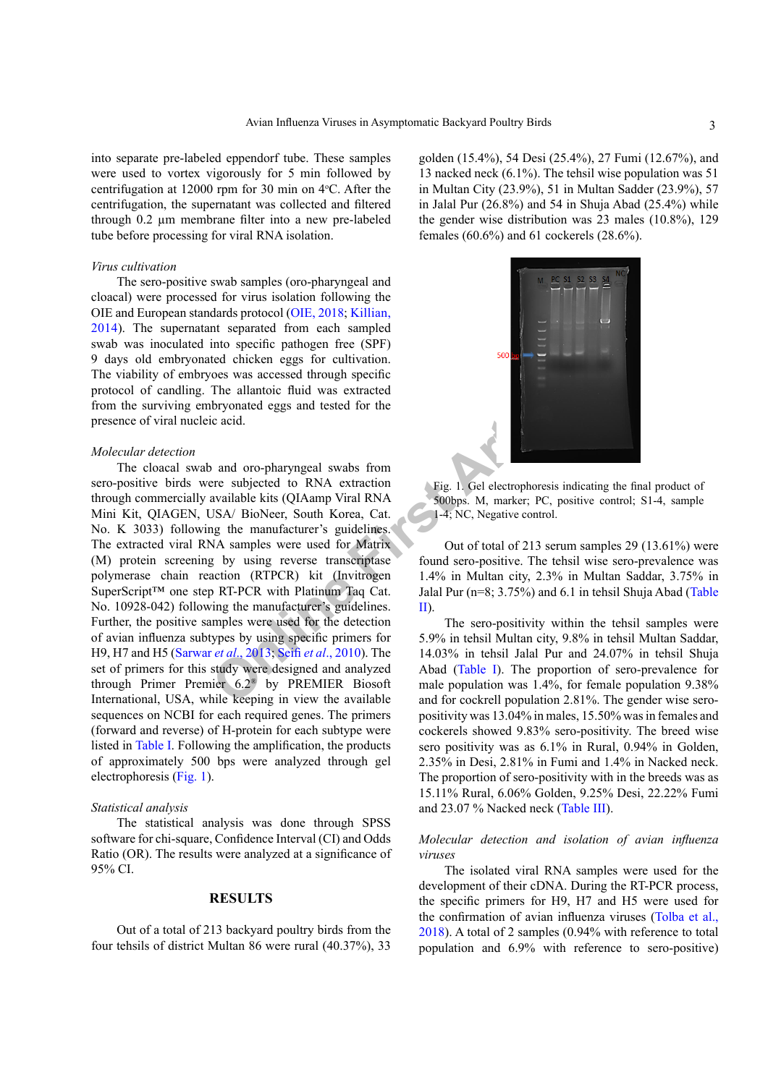into separate pre-labeled eppendorf tube. These samples were used to vortex vigorously for 5 min followed by centrifugation at  $12000$  rpm for 30 min on  $4^{\circ}$ C. After the centrifugation, the supernatant was collected and filtered through 0.2 µm membrane filter into a new pre-labeled tube before processing for viral RNA isolation.

#### *Virus cultivation*

The sero-positive swab samples (oro-pharyngeal and cloacal) were processed for virus isolation following the OIE and European standards protocol [\(OIE, 2018;](#page-6-3) [Killian,](#page-5-7) [2014](#page-5-7)). The supernatant separated from each sampled swab was inoculated into specific pathogen free (SPF) 9 days old embryonated chicken eggs for cultivation. The viability of embryoes was accessed through specific protocol of candling. The allantoic fluid was extracted from the surviving embryonated eggs and tested for the presence of viral nucleic acid.

#### *Molecular detection*

First a[l](#page-6-4)lantoic fluid was extracted<br>
The allantoic fluid was extracted<br>
increases and tested for the<br>
ic acid.<br> **[On](#page-6-0)**<br> **On**<br> **On**<br> **On**<br> **On**<br> **On**<br> **ISA/** BioNexer, South Korea, Cat.<br> **On**<br> **ISA/** BioNexer, South Korea, Ca The cloacal swab and oro-pharyngeal swabs from sero-positive birds were subjected to RNA extraction through commercially available kits (QIAamp Viral RNA Mini Kit, QIAGEN, USA/ BioNeer, South Korea, Cat. No. K 3033) following the manufacturer's guidelines. The extracted viral RNA samples were used for Matrix (M) protein screening by using reverse transcriptase polymerase chain reaction (RTPCR) kit (Invitrogen SuperScript™ one step RT-PCR with Platinum Taq Cat. No. 10928-042) following the manufacturer's guidelines. Further, the positive samples were used for the detection of avian influenza subtypes by using specific primers for H9, H7 and H5 (Sarwar *et al*., 2013; Seifi *et al*., 2010). The set of primers for this study were designed and analyzed through Primer Premier 6.2® by PREMIER Biosoft International, USA, while keeping in view the available sequences on NCBI for each required genes. The primers (forward and reverse) of H-protein for each subtype were listed in [Table I.](#page-1-0) Following the amplification, the products of approximately 500 bps were analyzed through gel electrophoresis [\(Fig. 1](#page-2-0)).

#### *Statistical analysis*

The statistical analysis was done through SPSS software for chi-square, Confidence Interval (CI) and Odds Ratio (OR). The results were analyzed at a significance of 95% CI.

#### **RESULTS**

Out of a total of 213 backyard poultry birds from the four tehsils of district Multan 86 were rural (40.37%), 33 golden (15.4%), 54 Desi (25.4%), 27 Fumi (12.67%), and 13 nacked neck (6.1%). The tehsil wise population was 51 in Multan City (23.9%), 51 in Multan Sadder (23.9%), 57 in Jalal Pur (26.8%) and 54 in Shuja Abad (25.4%) while the gender wise distribution was 23 males (10.8%), 129 females (60.6%) and 61 cockerels (28.6%).



<span id="page-2-0"></span>Fig. 1. Gel electrophoresis indicating the final product of 500bps. M, marker; PC, positive control; S1-4, sample 1-4; NC, Negative control.

Out of total of 213 serum samples 29 (13.61%) were found sero-positive. The tehsil wise sero-prevalence was 1.4% in Multan city, 2.3% in Multan Saddar, 3.75% in Jalal Pur (n=8; 3.75%) and 6.1 in tehsil Shuja Abad [\(Table](#page-3-0) II).

The sero-positivity within the tehsil samples were 5.9% in tehsil Multan city, 9.8% in tehsil Multan Saddar, 14.03% in tehsil Jalal Pur and 24.07% in tehsil Shuja Abad (Table I). The proportion of sero-prevalence for male population was 1.4%, for female population 9.38% and for cockrell population 2.81%. The gender wise seropositivity was 13.04% in males, 15.50% was in females and cockerels showed 9.83% sero-positivity. The breed wise sero positivity was as 6.1% in Rural, 0.94% in Golden, 2.35% in Desi, 2.81% in Fumi and 1.4% in Nacked neck. The proportion of sero-positivity with in the breeds was as 15.11% Rural, 6.06% Golden, 9.25% Desi, 22.22% Fumi and 23.07 % Nacked neck [\(Table III\)](#page-4-1).

## *Molecular detection and isolation of avian influenza viruses*

The isolated viral RNA samples were used for the development of their cDNA. During the RT-PCR process, the specific primers for H9, H7 and H5 were used for the confirmation of avian influenza viruses ([Tolba et al.,](#page-6-5) [2018\)](#page-6-5). A total of 2 samples (0.94% with reference to total population and 6.9% with reference to sero-positive)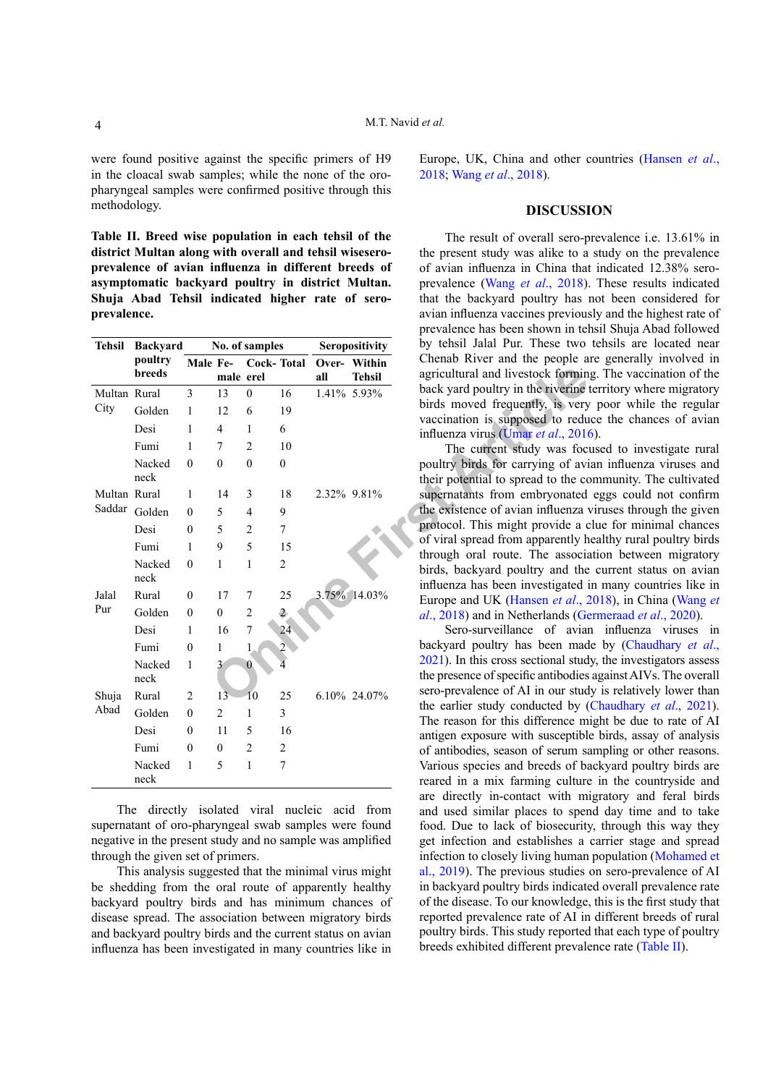were found positive against the specific primers of H9 in the cloacal swab samples; while the none of the oropharyngeal samples were confirmed positive through this methodology.

<span id="page-3-0"></span>**Table II. Breed wise population in each tehsil of the district Multan along with overall and tehsil wiseseroprevalence of avian influenza in different breeds of asymptomatic backyard poultry in district Multan. Shuja Abad Tehsil indicated higher rate of seroprevalence.**

| <b>Tehsil</b> | <b>Backyard</b> | No. of samples |                |                   | Seropositivity |     | by tehsil Jalal Pur. These two |                                                                       |
|---------------|-----------------|----------------|----------------|-------------------|----------------|-----|--------------------------------|-----------------------------------------------------------------------|
|               | poultry         | Male Fe-       |                | <b>Cock-Total</b> |                |     | Over- Within                   | Chenab River and the people a                                         |
|               | <b>breeds</b>   |                | male erel      |                   |                | all | <b>Tehsil</b>                  | agricultural and livestock formin                                     |
| Multan Rural  |                 | 3              | 13             | $\mathbf{0}$      | 16             |     | 1.41% 5.93%                    | back yard poultry in the riverine                                     |
| City          | Golden          | $\mathbf{1}$   | 12             | 6                 | 19             |     |                                | birds moved frequently, is very                                       |
|               | Desi            | 1              | $\overline{4}$ | 1                 | 6              |     |                                | vaccination is supposed to redu<br>influenza virus (Umar et al., 2016 |
|               | Fumi            | 1              | 7              | $\overline{2}$    | 10             |     |                                | The current study was foc                                             |
|               | Nacked          | $\theta$       | $\theta$       | $\mathbf{0}$      | $\theta$       |     |                                | poultry birds for carrying of avi                                     |
|               | neck            |                |                |                   |                |     |                                | their potential to spread to the co                                   |
| Multan Rural  |                 | 1              | 14             | 3                 | 18             |     | 2.32% 9.81%                    | supernatants from embryonated                                         |
|               | Saddar Golden   | $\theta$       | 5              | $\overline{4}$    | 9              |     |                                | the existence of avian influenza                                      |
|               | Desi            | $\theta$       | 5              | 2                 | 7              |     |                                | protocol. This might provide a c                                      |
|               | Fumi            | $\mathbf{1}$   | 9              | 5                 | 15             |     |                                | of viral spread from apparently h                                     |
|               | Nacked          | $\mathbf{0}$   | 1              | 1                 | $\overline{2}$ |     |                                | through oral route. The associa<br>birds, backyard poultry and the    |
|               | neck            |                |                |                   |                |     |                                | influenza has been investigated i                                     |
| Jalal         | Rural           | $\mathbf{0}$   | 17             | 7                 | 25             |     | 3.75% 14.03%                   | Europe and UK (Hansen et al., 2                                       |
| Pur           | Golden          | $\theta$       | $\mathbf{0}$   | $\overline{c}$    | $\overline{c}$ |     |                                | $al., 2018)$ and in Netherlands (Ge)                                  |
|               | Desi            | 1              | 16             | $\overline{7}$    | 24             |     |                                | Sero-surveillance of aviar                                            |
|               | Fumi            | $\theta$       | 1              |                   |                |     |                                | backyard poultry has been mad                                         |
|               | Nacked          | $\mathbf{1}$   | 3              | $\mathbf{0}$      |                |     |                                | 2021). In this cross sectional stud                                   |
|               | neck            |                |                |                   |                |     |                                | the presence of specific antibodies                                   |
| Shuja<br>Abad | Rural           | $\overline{2}$ | 13             | 10                | 25             |     | 6.10% 24.07%                   | sero-prevalence of AI in our stud                                     |
|               | Golden          | $\theta$       | $\overline{2}$ | 1                 | 3              |     |                                | the earlier study conducted by (<br>The reason for this difference m  |
|               | Desi            | $\theta$       | 11             | 5                 | 16             |     |                                | antigen exposure with susceptible                                     |
|               | Fumi            | $\mathbf{0}$   | $\mathbf{0}$   | $\overline{2}$    | 2              |     |                                | of antibodies, season of serum sa                                     |
|               | Nacked          | 1              | 5              | $\mathbf{1}$      | 7              |     |                                | Various species and breeds of ba                                      |
|               | neck            |                |                |                   |                |     |                                | reared in a mix farming culture                                       |

The directly isolated viral nucleic acid from supernatant of oro-pharyngeal swab samples were found negative in the present study and no sample was amplified through the given set of primers.

This analysis suggested that the minimal virus might be shedding from the oral route of apparently healthy backyard poultry birds and has minimum chances of disease spread. The association between migratory birds and backyard poultry birds and the current status on avian influenza has been investigated in many countries like in

Europe, UK, China and other countries (Hansen *et al*., 2018; Wang *et al*., 2018).

#### **DISCUSSION**

The result of overall sero-prevalence i.e. 13.61% in the present study was alike to a study on the prevalence of avian influenza in China that indicated 12.38% seroprevalence (Wang *et al*., 2018). These results indicated that the backyard poultry has not been considered for avian influenza vaccines previously and the highest rate of prevalence has been shown in tehsil Shuja Abad followed by tehsil Jalal Pur. These two tehsils are located near Chenab River and the people are generally involved in agricultural and livestock forming. The vaccination of the back yard poultry in the riverine territory where migratory birds moved frequently, is very poor while the regular vaccination is supposed to reduce the chances of avian influenza virus (Umar *et al*., 2016).

The current study was focused to investigate rural poultry birds for carrying of avian influenza viruses and their potential to spread to the community. The cultivated supernatants from embryonated eggs could not confirm the existence of avian influenza viruses through the given protocol. This might provide a clue for minimal chances of viral spread from apparently healthy rural poultry birds through oral route. The association between migratory birds, backyard poultry and the current status on avian influenza has been investigated in many countries like in Europe and UK (Hansen *et al*., 2018), in China (Wang *et al*., 2018) and in Netherlands ([Germeraad](#page-5-8) *et al*., 2020).

Sero-surveillance of avian influenza viruses in backyard poultry has been made by [\(Chaudhary](#page-5-9) *et al*., 2021). In this cross sectional study, the investigators assess the presence of specific antibodies against AIVs. The overall sero-prevalence of AI in our study is relatively lower than the earlier study conducted by [\(Chaudhary](#page-5-9) *et al*., 2021). The reason for this difference might be due to rate of AI antigen exposure with susceptible birds, assay of analysis of antibodies, season of serum sampling or other reasons. Various species and breeds of backyard poultry birds are reared in a mix farming culture in the countryside and are directly in-contact with migratory and feral birds and used similar places to spend day time and to take food. Due to lack of biosecurity, through this way they get infection and establishes a carrier stage and spread infection to closely living human population ([Mohamed et](#page-5-10)  [al., 2019\)](#page-5-10). The previous studies on sero-prevalence of AI in backyard poultry birds indicated overall prevalence rate of the disease. To our knowledge, this is the first study that reported prevalence rate of AI in different breeds of rural poultry birds. This study reported that each type of poultry breeds exhibited different prevalence rate ([Table II](#page-3-0)).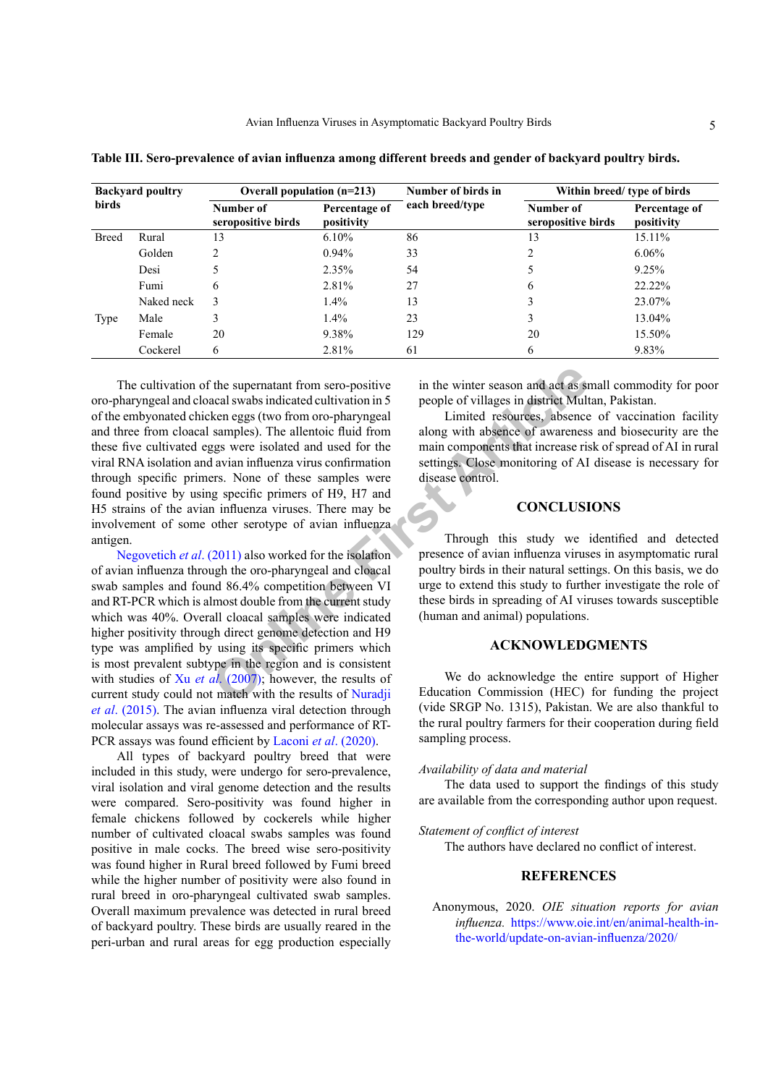| <b>Backyard poultry</b><br><b>birds</b> |            | Overall population $(n=213)$    |                             | Number of birds in | Within breed/ type of birds     |                             |
|-----------------------------------------|------------|---------------------------------|-----------------------------|--------------------|---------------------------------|-----------------------------|
|                                         |            | Number of<br>seropositive birds | Percentage of<br>positivity | each breed/type    | Number of<br>seropositive birds | Percentage of<br>positivity |
| <b>Breed</b>                            | Rural      | 13                              | $6.10\%$                    | 86                 | 13                              | 15.11%                      |
|                                         | Golden     | $\mathfrak{D}$                  | $0.94\%$                    | 33                 | $\overline{c}$                  | $6.06\%$                    |
|                                         | Desi       |                                 | $2.35\%$                    | 54                 | 5                               | 9.25%                       |
|                                         | Fumi       | 6                               | 2.81%                       | 27                 | 6                               | 22.22%                      |
|                                         | Naked neck | 3                               | $1.4\%$                     | 13                 |                                 | 23.07%                      |
| Type                                    | Male       | 3                               | $1.4\%$                     | 23                 | 3                               | 13.04%                      |
|                                         | Female     | 20                              | 9.38%                       | 129                | 20                              | 15.50%                      |
|                                         | Cockerel   | 6                               | 2.81%                       | 61                 | 6                               | 9.83%                       |

<span id="page-4-1"></span>**Table III. Sero-prevalence of avian influenza among different breeds and gender of backyard poultry birds.**

The supernatant from sero-positive<br>
acal swabs indicated cultivation in 5<br>
people of villages in district Mult<br>
ken eggs (two from oro-pharyngeal<br>
samples). The allentoic fluid from<br>
along with absence of awareness<br>
sample The cultivation of the supernatant from sero-positive oro-pharyngeal and cloacal swabs indicated cultivation in 5 of the embyonated chicken eggs (two from oro-pharyngeal and three from cloacal samples). The allentoic fluid from these five cultivated eggs were isolated and used for the viral RNA isolation and avian influenza virus confirmation through specific primers. None of these samples were found positive by using specific primers of H9, H7 and H5 strains of the avian influenza viruses. There may be involvement of some other serotype of avian influenza antigen.

[Negovetich](#page-6-7) *et al*. (2011) also worked for the isolation of avian influenza through the oro-pharyngeal and cloacal swab samples and found 86.4% competition between VI and RT-PCR which is almost double from the current study which was 40%. Overall cloacal samples were indicated higher positivity through direct genome detection and H9 type was amplified by using its specific primers which is most prevalent subtype in the region and is consistent with studies of Xu *et al.* (2007); however, the results of current study could not match with the results of Nuradji *et al*[. \(2015\)](#page-6-9). The avian influenza viral detection through molecular assays was re-assessed and performance of RT-PCR assays was found efficient by Laconi *et al*. (2020).

All types of backyard poultry breed that were included in this study, were undergo for sero-prevalence, viral isolation and viral genome detection and the results were compared. Sero-positivity was found higher in female chickens followed by cockerels while higher number of cultivated cloacal swabs samples was found positive in male cocks. The breed wise sero-positivity was found higher in Rural breed followed by Fumi breed while the higher number of positivity were also found in rural breed in oro-pharyngeal cultivated swab samples. Overall maximum prevalence was detected in rural breed of backyard poultry. These birds are usually reared in the peri-urban and rural areas for egg production especially

in the winter season and act as small commodity for poor people of villages in district Multan, Pakistan.

Limited resources, absence of vaccination facility along with absence of awareness and biosecurity are the main components that increase risk of spread of AI in rural settings. Close monitoring of AI disease is necessary for disease control.

## **CONCLUSIONS**

Through this study we identified and detected presence of avian influenza viruses in asymptomatic rural poultry birds in their natural settings. On this basis, we do urge to extend this study to further investigate the role of these birds in spreading of AI viruses towards susceptible (human and animal) populations.

#### **ACKNOWLEDGMENTS**

We do acknowledge the entire support of Higher Education Commission (HEC) for funding the project (vide SRGP No. 1315), Pakistan. We are also thankful to the rural poultry farmers for their cooperation during field sampling process.

## *Availability of data and material*

The data used to support the findings of this study are available from the corresponding author upon request.

## *Statement of conflict of interest*

The authors have declared no conflict of interest.

## **REFERENCES**

<span id="page-4-0"></span>Anonymous, 2020. *OIE situation reports for avian influenza.* [https://www.oie.int/en/animal-health-in](https://www.oie.int/en/animal-health-in-the-world/update-on-avian-influenza/2020/)[the-world/update-on-avian-influenza/2020/](https://www.oie.int/en/animal-health-in-the-world/update-on-avian-influenza/2020/)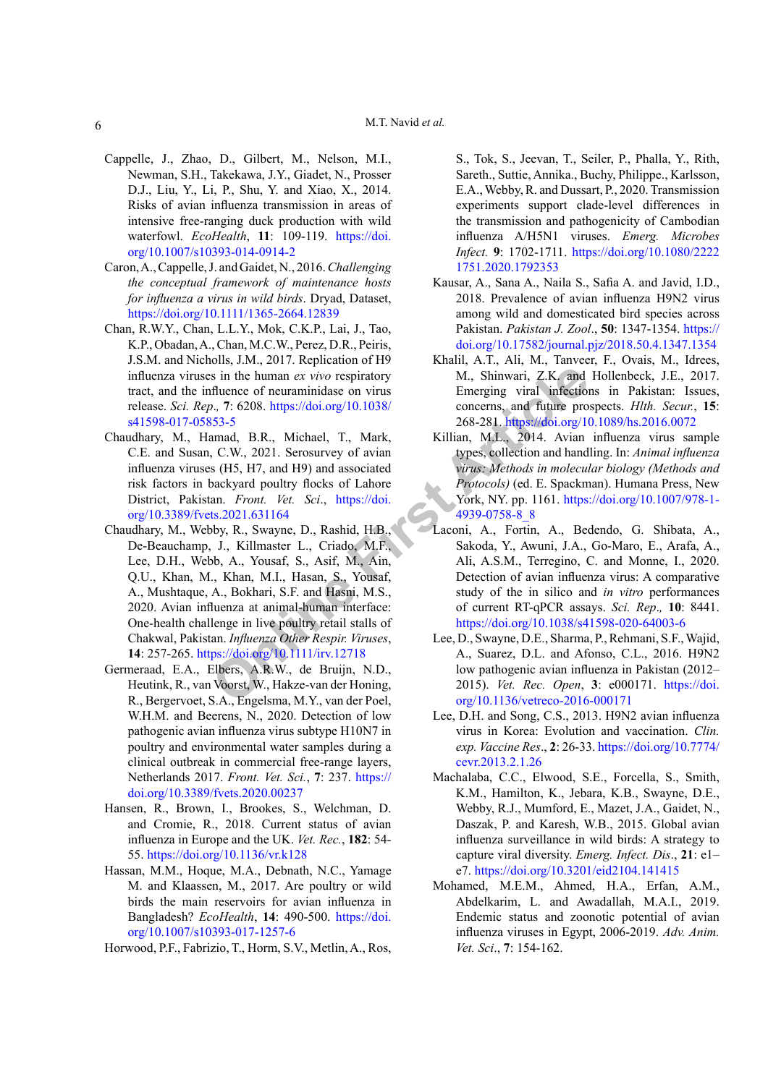- <span id="page-5-5"></span>Cappelle, J., Zhao, D., Gilbert, M., Nelson, M.I., Newman, S.H., Takekawa, J.Y., Giadet, N., Prosser D.J., Liu, Y., Li, P., Shu, Y. and Xiao, X., 2014. Risks of avian influenza transmission in areas of intensive free-ranging duck production with wild waterfowl. *EcoHealth*, **11**: 109-119. [https://doi.](https://doi.org/10.1007/s10393-014-0914-2) [org/10.1007/s10393-014-0914-2](https://doi.org/10.1007/s10393-014-0914-2)
- <span id="page-5-4"></span>Caron, A., Cappelle, J. and Gaidet, N., 2016. *Challenging the conceptual framework of maintenance hosts for influenza a virus in wild birds*. Dryad, Dataset, <https://doi.org/10.1111/1365-2664.12839>
- <span id="page-5-2"></span>Chan, R.W.Y., Chan, L.L.Y., Mok, C.K.P., Lai, J., Tao, K.P., Obadan, A., Chan, M.C.W., Perez, D.R., Peiris, J.S.M. and Nicholls, J.M., 2017. Replication of H9 influenza viruses in the human *ex vivo* respiratory tract, and the influence of neuraminidase on virus release. *Sci. Rep*.*,* **7**: 6208. https://doi.org/10.1038/ [s41598-017-05853-5](https://doi.org/10.1038/s41598-017-05853-5)
- <span id="page-5-9"></span>Chaudhary, M., Hamad, B.R., Michael, T., Mark, C.E. and Susan, C.W., 2021. Serosurvey of avian influenza viruses (H5, H7, and H9) and associated risk factors in backyard poultry flocks of Lahore District, Pakistan. *Front. Vet. Sci*., https://doi. [org/10.3389/fvets.2021.631164](https://doi.org/10.3389/fvets.2021.631164)
- **Solu[t](https://doi.org/10.1007/978-1-4939-0758-8_8)ion** is in the human ex vivo respiratory<br> **[Onl](https://doi.org/10.1111/irv.12718)y 10.1038/**<br> **Only 10.1038/**<br> **Only 10.1038/**<br> **Only 10.1038/**<br> **Only 10.1038/**<br> **Only 10.1038/**<br> **Only 10.1038/**<br> **Only 10.1038/**<br> **Only 10.1038/**<br> **Only 10.1038/**<br> **C.W** Chaudhary, M., Webby, R., Swayne, D., Rashid, H.B., De-Beauchamp, J., Killmaster L., Criado, M.F., Lee, D.H., Webb, A., Yousaf, S., Asif, M., Ain, Q.U., Khan, M., Khan, M.I., Hasan, S., Yousaf, A., Mushtaque, A., Bokhari, S.F. and Hasni, M.S., 2020. Avian influenza at animal-human interface: One-health challenge in live poultry retail stalls of Chakwal, Pakistan. *Influenza Other Respir. Viruses*, **14**: 257-265. https://doi.org/10.1111/irv.12718
- <span id="page-5-8"></span>Germeraad, E.A., Elbers, A.R.W., de Bruijn, N.D., Heutink, R., van Voorst, W., Hakze-van der Honing, R., Bergervoet, S.A., Engelsma, M.Y., van der Poel, W.H.M. and Beerens, N., 2020. Detection of low pathogenic avian influenza virus subtype H10N7 in poultry and environmental water samples during a clinical outbreak in commercial free-range layers, Netherlands 2017. *Front. Vet. Sci.*, **7**: 237. [https://](https://doi.org/10.3389/fvets.2020.00237) [doi.org/10.3389/fvets.2020.00237](https://doi.org/10.3389/fvets.2020.00237)
- Hansen, R., Brown, I., Brookes, S., Welchman, D. and Cromie, R., 2018. Current status of avian influenza in Europe and the UK. *Vet. Rec.*, **182**: 54- 55.<https://doi.org/10.1136/vr.k128>
- <span id="page-5-3"></span>Hassan, M.M., Hoque, M.A., Debnath, N.C., Yamage M. and Klaassen, M., 2017. Are poultry or wild birds the main reservoirs for avian influenza in Bangladesh? *EcoHealth*, **14**: 490-500. [https://doi.](https://doi.org/10.1007/s10393-017-1257-6) [org/10.1007/s10393-017-1257-6](https://doi.org/10.1007/s10393-017-1257-6)

Horwood, P.F., Fabrizio, T., Horm, S.V., Metlin, A., Ros,

S., Tok, S., Jeevan, T., Seiler, P., Phalla, Y., Rith, Sareth., Suttie, Annika., Buchy, Philippe., Karlsson, E.A., Webby, R. and Dussart, P., 2020. Transmission experiments support clade-level differences in the transmission and pathogenicity of Cambodian influenza A/H5N1 viruses. *Emerg. Microbes Infect.* **9**: 1702-1711. [https://doi.org/10.1080/2222](https://doi.org/10.1080/22221751.2020.1792353) [1751.2020.1792353](https://doi.org/10.1080/22221751.2020.1792353)

- <span id="page-5-6"></span>Kausar, A., Sana A., Naila S., Safia A. and Javid, I.D., 2018. Prevalence of avian influenza H9N2 virus among wild and domesticated bird species across Pakistan. *Pakistan J. Zool*., **50**: 1347-1354. [https://](https://doi.org/10.17582/journal.pjz/2018.50.4.1347.1354) [doi.org/10.17582/journal.pjz/2018.50.4.1347.1354](https://doi.org/10.17582/journal.pjz/2018.50.4.1347.1354)
- <span id="page-5-1"></span>Khalil, A.T., Ali, M., Tanveer, F., Ovais, M., Idrees, M., Shinwari, Z.K. and Hollenbeck, J.E., 2017. Emerging viral infections in Pakistan: Issues, concerns, and future prospects. *Hlth. Secur.*, **15**: 268-281. <https://doi.org/10.1089/hs.2016.0072>
- <span id="page-5-7"></span>Killian, M.L., 2014. Avian influenza virus sample types, collection and handling. In: *Animal influenza virus: Methods in molecular biology (Methods and Protocols)* (ed. E. Spackman). Humana Press, New York, NY. pp. 1161. [https://doi.org/10.1007/978-1-](https://doi.org/10.1007/978-1-4939-0758-8_8) 4939-0758-8\_8
- Laconi, A., Fortin, A., Bedendo, G. Shibata, A., Sakoda, Y., Awuni, J.A., Go-Maro, E., Arafa, A., Ali, A.S.M., Terregino, C. and Monne, I., 2020. Detection of avian influenza virus: A comparative study of the in silico and *in vitro* performances of current RT-qPCR assays. *Sci. Rep*.*,* **10**: 8441. <https://doi.org/10.1038/s41598-020-64003-6>
- Lee, D., Swayne, D.E., Sharma, P.,Rehmani, S.F.,Wajid, A., Suarez, D.L. and Afonso, C.L., 2016. H9N2 low pathogenic avian influenza in Pakistan (2012– 2015). *Vet. Rec. Open*, **3**: e000171. [https://doi.](https://doi.org/10.1136/vetreco-2016-000171) [org/10.1136/vetreco-2016-000171](https://doi.org/10.1136/vetreco-2016-000171)
- Lee, D.H. and Song, C.S., 2013. H9N2 avian influenza virus in Korea: Evolution and vaccination. *Clin. exp. Vaccine Res*., **2**: 26-33. [https://doi.org/10.7774/](https://doi.org/10.7774/cevr.2013.2.1.26) [cevr.2013.2.1.26](https://doi.org/10.7774/cevr.2013.2.1.26)
- <span id="page-5-0"></span>Machalaba, C.C., Elwood, S.E., Forcella, S., Smith, K.M., Hamilton, K., Jebara, K.B., Swayne, D.E., Webby, R.J., Mumford, E., Mazet, J.A., Gaidet, N., Daszak, P. and Karesh, W.B., 2015. Global avian influenza surveillance in wild birds: A strategy to capture viral diversity. *Emerg. Infect. Dis*., **21**: e1– e7. <https://doi.org/10.3201/eid2104.141415>
- <span id="page-5-10"></span>Mohamed, M.E.M., Ahmed, H.A., Erfan, A.M., Abdelkarim, L. and Awadallah, M.A.I., 2019. Endemic status and zoonotic potential of avian influenza viruses in Egypt, 2006-2019. *Adv. Anim. Vet. Sci*., **7**: 154-162.